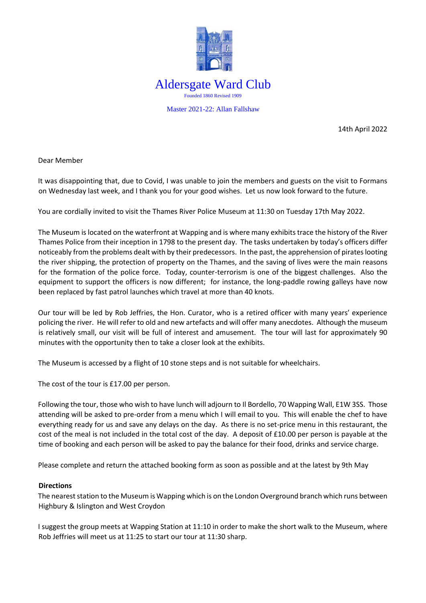

14th April 2022

Dear Member

It was disappointing that, due to Covid, I was unable to join the members and guests on the visit to Formans on Wednesday last week, and I thank you for your good wishes. Let us now look forward to the future.

You are cordially invited to visit the Thames River Police Museum at 11:30 on Tuesday 17th May 2022.

The Museum is located on the waterfront at Wapping and is where many exhibits trace the history of the River Thames Police from their inception in 1798 to the present day. The tasks undertaken by today's officers differ noticeably from the problems dealt with by their predecessors. In the past, the apprehension of pirates looting the river shipping, the protection of property on the Thames, and the saving of lives were the main reasons for the formation of the police force. Today, counter-terrorism is one of the biggest challenges. Also the equipment to support the officers is now different; for instance, the long-paddle rowing galleys have now been replaced by fast patrol launches which travel at more than 40 knots.

Our tour will be led by Rob Jeffries, the Hon. Curator, who is a retired officer with many years' experience policing the river. He will refer to old and new artefacts and will offer many anecdotes. Although the museum is relatively small, our visit will be full of interest and amusement. The tour will last for approximately 90 minutes with the opportunity then to take a closer look at the exhibits.

The Museum is accessed by a flight of 10 stone steps and is not suitable for wheelchairs.

The cost of the tour is £17.00 per person.

Following the tour, those who wish to have lunch will adjourn to Il Bordello, 70 Wapping Wall, E1W 3SS. Those attending will be asked to pre-order from a menu which I will email to you. This will enable the chef to have everything ready for us and save any delays on the day. As there is no set-price menu in this restaurant, the cost of the meal is not included in the total cost of the day. A deposit of £10.00 per person is payable at the time of booking and each person will be asked to pay the balance for their food, drinks and service charge.

Please complete and return the attached booking form as soon as possible and at the latest by 9th May

## **Directions**

The nearest station to the Museum is Wapping which is on the London Overground branch which runs between Highbury & Islington and West Croydon

I suggest the group meets at Wapping Station at 11:10 in order to make the short walk to the Museum, where Rob Jeffries will meet us at 11:25 to start our tour at 11:30 sharp.